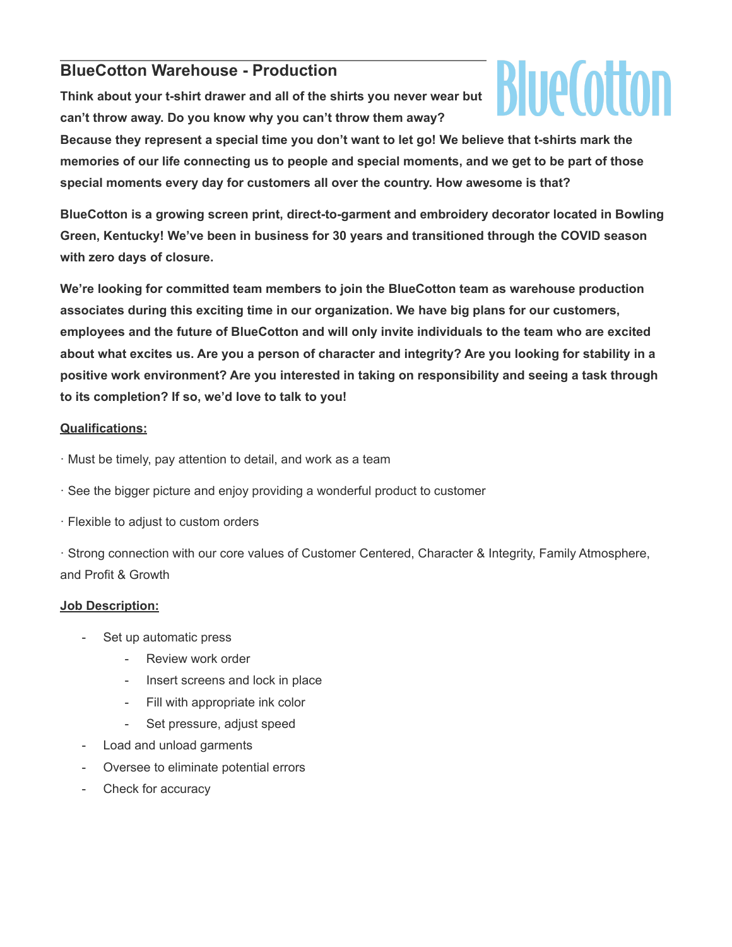## **BlueCotton Warehouse - Production**

**Think about your t-shirt drawer and all of the shirts you never wear but can't throw away. Do you know why you can't throw them away?**



**Because they represent a special time you don't want to let go! We believe that t-shirts mark the memories of our life connecting us to people and special moments, and we get to be part of those special moments every day for customers all over the country. How awesome is that?**

**BlueCotton is a growing screen print, direct-to-garment and embroidery decorator located in Bowling Green, Kentucky! We've been in business for 30 years and transitioned through the COVID season with zero days of closure.**

**We're looking for committed team members to join the BlueCotton team as warehouse production associates during this exciting time in our organization. We have big plans for our customers, employees and the future of BlueCotton and will only invite individuals to the team who are excited about what excites us. Are you a person of character and integrity? Are you looking for stability in a positive work environment? Are you interested in taking on responsibility and seeing a task through to its completion? If so, we'd love to talk to you!**

## **Qualifications:**

· Must be timely, pay attention to detail, and work as a team

- · See the bigger picture and enjoy providing a wonderful product to customer
- · Flexible to adjust to custom orders

· Strong connection with our core values of Customer Centered, Character & Integrity, Family Atmosphere, and Profit & Growth

## **Job Description:**

- Set up automatic press
	- Review work order
	- Insert screens and lock in place
	- Fill with appropriate ink color
	- Set pressure, adjust speed
- Load and unload garments
- Oversee to eliminate potential errors
- Check for accuracy